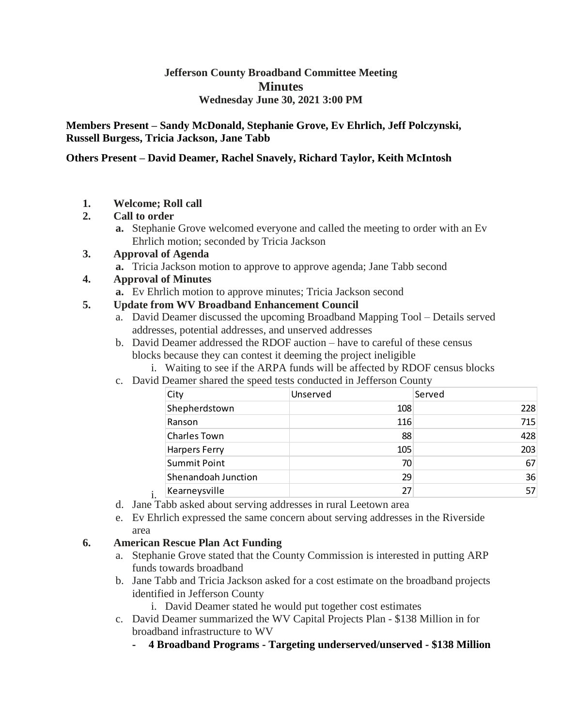## **Jefferson County Broadband Committee Meeting Minutes Wednesday June 30, 2021 3:00 PM**

**Members Present – Sandy McDonald, Stephanie Grove, Ev Ehrlich, Jeff Polczynski, Russell Burgess, Tricia Jackson, Jane Tabb**

#### **Others Present – David Deamer, Rachel Snavely, Richard Taylor, Keith McIntosh**

**1. Welcome; Roll call**

## **2. Call to order**

**a.** Stephanie Grove welcomed everyone and called the meeting to order with an Ev Ehrlich motion; seconded by Tricia Jackson

## **3. Approval of Agenda**

**a.** Tricia Jackson motion to approve to approve agenda; Jane Tabb second

## **4. Approval of Minutes**

**a.** Ev Ehrlich motion to approve minutes; Tricia Jackson second

## **5. Update from WV Broadband Enhancement Council**

- a. David Deamer discussed the upcoming Broadband Mapping Tool Details served addresses, potential addresses, and unserved addresses
- b. David Deamer addressed the RDOF auction have to careful of these census blocks because they can contest it deeming the project ineligible
	- i. Waiting to see if the ARPA funds will be affected by RDOF census blocks
- c. David Deamer shared the speed tests conducted in Jefferson County

| City                 | Unserved | Served |
|----------------------|----------|--------|
| Shepherdstown        | 108      | 228    |
| Ranson               | 116      | 715    |
| <b>Charles Town</b>  | 88       | 428    |
| <b>Harpers Ferry</b> | 105      | 203    |
| <b>Summit Point</b>  | 70       | 67     |
| Shenandoah Junction  | 29       | 36     |
| Kearneysville        | 27       | 57     |

- i. d. Jane Tabb asked about serving addresses in rural Leetown area
- e. Ev Ehrlich expressed the same concern about serving addresses in the Riverside area

## **6. American Rescue Plan Act Funding**

- a. Stephanie Grove stated that the County Commission is interested in putting ARP funds towards broadband
- b. Jane Tabb and Tricia Jackson asked for a cost estimate on the broadband projects identified in Jefferson County
	- i. David Deamer stated he would put together cost estimates
- c. David Deamer summarized the WV Capital Projects Plan \$138 Million in for broadband infrastructure to WV
	- **- 4 Broadband Programs - Targeting underserved/unserved - \$138 Million**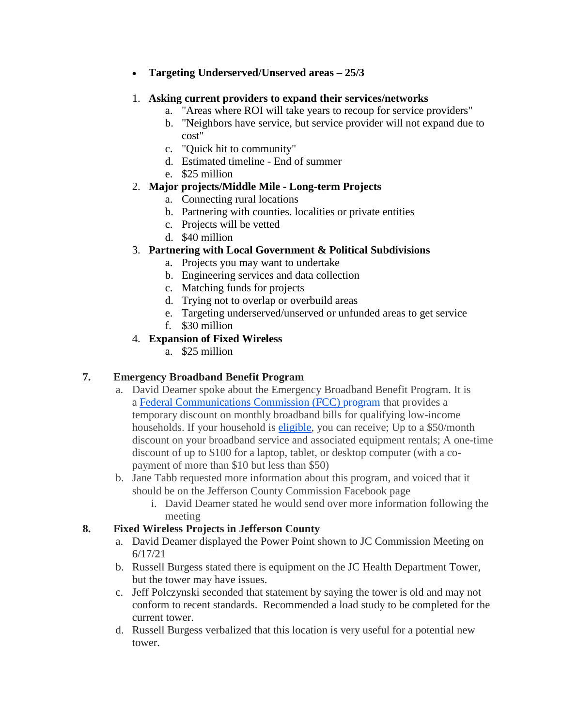**Targeting Underserved/Unserved areas – 25/3**

#### 1. **Asking current providers to expand their services/networks**

- a. "Areas where ROI will take years to recoup for service providers"
- b. "Neighbors have service, but service provider will not expand due to cost"
- c. "Quick hit to community"
- d. Estimated timeline End of summer
- e. \$25 million

#### 2. **Major projects/Middle Mile - Long-term Projects**

- a. Connecting rural locations
- b. Partnering with counties. localities or private entities
- c. Projects will be vetted
- d. \$40 million

## 3. **Partnering with Local Government & Political Subdivisions**

- a. Projects you may want to undertake
- b. Engineering services and data collection
- c. Matching funds for projects
- d. Trying not to overlap or overbuild areas
- e. Targeting underserved/unserved or unfunded areas to get service
- f. \$30 million

## 4. **Expansion of Fixed Wireless**

a. \$25 million

## **7. Emergency Broadband Benefit Program**

- a. David Deamer spoke about the Emergency Broadband Benefit Program. It is a Federal Communications Commission (FCC) program that provides a temporary discount on monthly broadband bills for qualifying low-income households. If your household is [eligible,](https://getemergencybroadband.org/do-i-qualify/) you can receive; Up to a \$50/month discount on your broadband service and associated equipment rentals; A one-time discount of up to \$100 for a laptop, tablet, or desktop computer (with a copayment of more than \$10 but less than \$50)
- b. Jane Tabb requested more information about this program, and voiced that it should be on the Jefferson County Commission Facebook page
	- i. David Deamer stated he would send over more information following the meeting

#### **8. Fixed Wireless Projects in Jefferson County**

- a. David Deamer displayed the Power Point shown to JC Commission Meeting on 6/17/21
- b. Russell Burgess stated there is equipment on the JC Health Department Tower, but the tower may have issues.
- c. Jeff Polczynski seconded that statement by saying the tower is old and may not conform to recent standards. Recommended a load study to be completed for the current tower.
- d. Russell Burgess verbalized that this location is very useful for a potential new tower.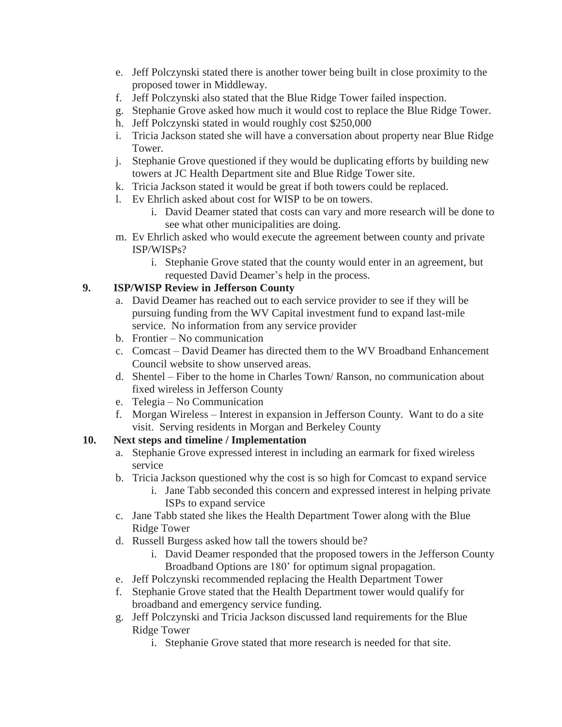- e. Jeff Polczynski stated there is another tower being built in close proximity to the proposed tower in Middleway.
- f. Jeff Polczynski also stated that the Blue Ridge Tower failed inspection.
- g. Stephanie Grove asked how much it would cost to replace the Blue Ridge Tower.
- h. Jeff Polczynski stated in would roughly cost \$250,000
- i. Tricia Jackson stated she will have a conversation about property near Blue Ridge Tower.
- j. Stephanie Grove questioned if they would be duplicating efforts by building new towers at JC Health Department site and Blue Ridge Tower site.
- k. Tricia Jackson stated it would be great if both towers could be replaced.
- l. Ev Ehrlich asked about cost for WISP to be on towers.
	- i. David Deamer stated that costs can vary and more research will be done to see what other municipalities are doing.
- m. Ev Ehrlich asked who would execute the agreement between county and private ISP/WISPs?
	- i. Stephanie Grove stated that the county would enter in an agreement, but requested David Deamer's help in the process.

## **9. ISP/WISP Review in Jefferson County**

- a. David Deamer has reached out to each service provider to see if they will be pursuing funding from the WV Capital investment fund to expand last-mile service. No information from any service provider
- b. Frontier No communication
- c. Comcast David Deamer has directed them to the WV Broadband Enhancement Council website to show unserved areas.
- d. Shentel Fiber to the home in Charles Town/ Ranson, no communication about fixed wireless in Jefferson County
- e. Telegia No Communication
- f. Morgan Wireless Interest in expansion in Jefferson County. Want to do a site visit. Serving residents in Morgan and Berkeley County

## **10. Next steps and timeline / Implementation**

- a. Stephanie Grove expressed interest in including an earmark for fixed wireless service
- b. Tricia Jackson questioned why the cost is so high for Comcast to expand service
	- i. Jane Tabb seconded this concern and expressed interest in helping private ISPs to expand service
- c. Jane Tabb stated she likes the Health Department Tower along with the Blue Ridge Tower
- d. Russell Burgess asked how tall the towers should be?
	- i. David Deamer responded that the proposed towers in the Jefferson County Broadband Options are 180' for optimum signal propagation.
- e. Jeff Polczynski recommended replacing the Health Department Tower
- f. Stephanie Grove stated that the Health Department tower would qualify for broadband and emergency service funding.
- g. Jeff Polczynski and Tricia Jackson discussed land requirements for the Blue Ridge Tower
	- i. Stephanie Grove stated that more research is needed for that site.